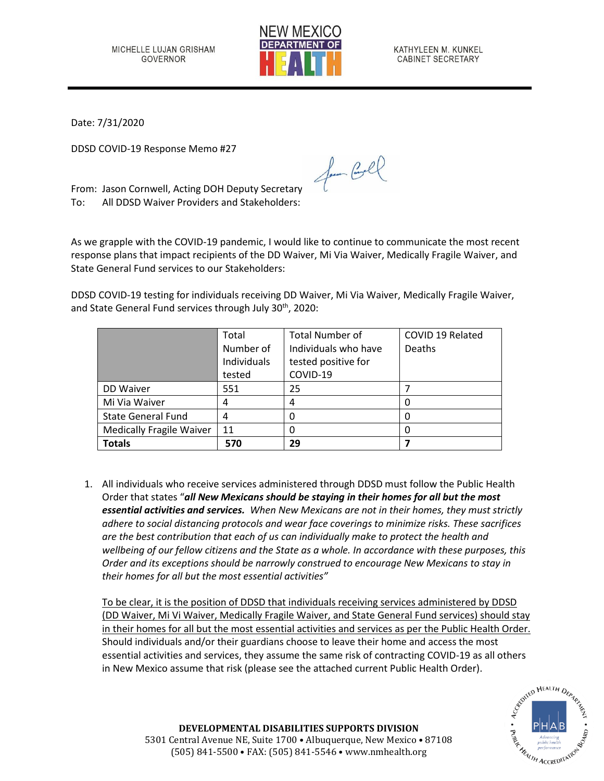

KATHYLEEN M. KUNKEL CABINET SECRETARY

Date: 7/31/2020

DDSD COVID-19 Response Memo #27

From: Jason Cornwell, Acting DOH Deputy Secretary To: All DDSD Waiver Providers and Stakeholders:

As we grapple with the COVID-19 pandemic, I would like to continue to communicate the most recent response plans that impact recipients of the DD Waiver, Mi Via Waiver, Medically Fragile Waiver, and State General Fund services to our Stakeholders:

for Cool

DDSD COVID-19 testing for individuals receiving DD Waiver, Mi Via Waiver, Medically Fragile Waiver, and State General Fund services through July 30<sup>th</sup>, 2020:

|                                 | Total       | <b>Total Number of</b> | COVID 19 Related |
|---------------------------------|-------------|------------------------|------------------|
|                                 | Number of   | Individuals who have   | <b>Deaths</b>    |
|                                 | Individuals | tested positive for    |                  |
|                                 | tested      | COVID-19               |                  |
| DD Waiver                       | 551         | 25                     |                  |
| Mi Via Waiver                   | 4           | 4                      |                  |
| <b>State General Fund</b>       | 4           |                        |                  |
| <b>Medically Fragile Waiver</b> | 11          |                        |                  |
| <b>Totals</b>                   | 570         | 29                     |                  |

1. All individuals who receive services administered through DDSD must follow the Public Health Order that states "*all New Mexicans should be staying in their homes for all but the most essential activities and services. When New Mexicans are not in their homes, they must strictly adhere to social distancing protocols and wear face coverings to minimize risks. These sacrifices are the best contribution that each of us can individually make to protect the health and wellbeing of our fellow citizens and the State as a whole. In accordance with these purposes, this Order and its exceptions should be narrowly construed to encourage New Mexicans to stay in their homes for all but the most essential activities"* 

To be clear, it is the position of DDSD that individuals receiving services administered by DDSD (DD Waiver, Mi Vi Waiver, Medically Fragile Waiver, and State General Fund services) should stay in their homes for all but the most essential activities and services as per the Public Health Order. Should individuals and/or their guardians choose to leave their home and access the most essential activities and services, they assume the same risk of contracting COVID-19 as all others in New Mexico assume that risk (please see the attached current Public Health Order).



**DEVELOPMENTAL DISABILITIES SUPPORTS DIVISION** 5301 Central Avenue NE, Suite 1700 • Albuquerque, New Mexico • 87108 (505) 841-5500 • FAX: (505) 841-5546 • www.nmhealth.org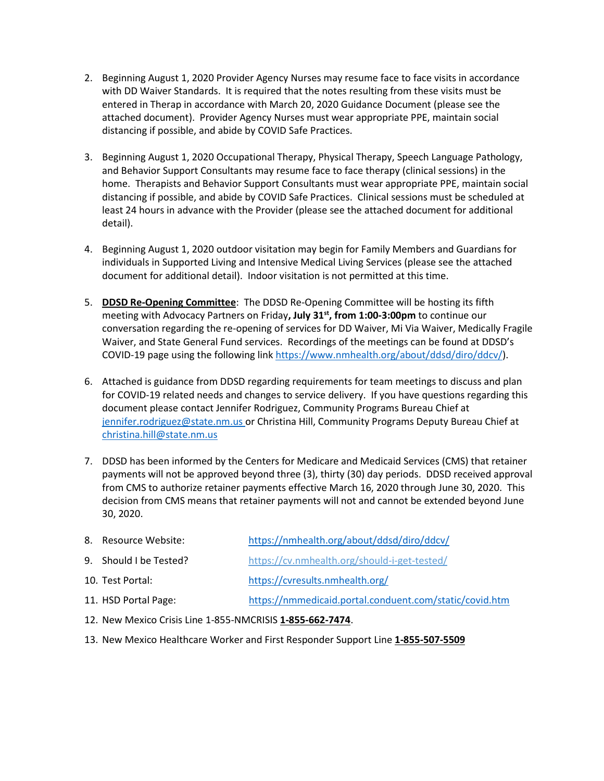- 2. Beginning August 1, 2020 Provider Agency Nurses may resume face to face visits in accordance with DD Waiver Standards. It is required that the notes resulting from these visits must be entered in Therap in accordance with March 20, 2020 Guidance Document (please see the attached document). Provider Agency Nurses must wear appropriate PPE, maintain social distancing if possible, and abide by COVID Safe Practices.
- 3. Beginning August 1, 2020 Occupational Therapy, Physical Therapy, Speech Language Pathology, and Behavior Support Consultants may resume face to face therapy (clinical sessions) in the home. Therapists and Behavior Support Consultants must wear appropriate PPE, maintain social distancing if possible, and abide by COVID Safe Practices. Clinical sessions must be scheduled at least 24 hours in advance with the Provider (please see the attached document for additional detail).
- 4. Beginning August 1, 2020 outdoor visitation may begin for Family Members and Guardians for individuals in Supported Living and Intensive Medical Living Services (please see the attached document for additional detail). Indoor visitation is not permitted at this time.
- 5. **DDSD Re-Opening Committee**: The DDSD Re-Opening Committee will be hosting its fifth meeting with Advocacy Partners on Friday**, July 31st , from 1:00-3:00pm** to continue our conversation regarding the re-opening of services for DD Waiver, Mi Via Waiver, Medically Fragile Waiver, and State General Fund services. Recordings of the meetings can be found at DDSD's COVID-19 page using the following link [https://www.nmhealth.org/about/ddsd/diro/ddcv/\)](https://www.nmhealth.org/about/ddsd/diro/ddcv/).
- 6. Attached is guidance from DDSD regarding requirements for team meetings to discuss and plan for COVID-19 related needs and changes to service delivery. If you have questions regarding this document please contact Jennifer Rodriguez, Community Programs Bureau Chief at [jennifer.rodriguez@state.nm.us](mailto:jennifer.rodriguez@state.nm.us) or Christina Hill, Community Programs Deputy Bureau Chief at christina.hill@state.nm.us
- 7. DDSD has been informed by the Centers for Medicare and Medicaid Services (CMS) that retainer payments will not be approved beyond three (3), thirty (30) day periods. DDSD received approval from CMS to authorize retainer payments effective March 16, 2020 through June 30, 2020. This decision from CMS means that retainer payments will not and cannot be extended beyond June 30, 2020.
- 8. Resource Website: <https://nmhealth.org/about/ddsd/diro/ddcv/>
- 9. Should I be Tested? <https://cv.nmhealth.org/should-i-get-tested/>
- 10. Test Portal: <https://cvresults.nmhealth.org/>
- 11. HSD Portal Page: <https://nmmedicaid.portal.conduent.com/static/covid.htm>
- 12. New Mexico Crisis Line 1-855-NMCRISIS **1-855-662-7474**.
- 13. New Mexico Healthcare Worker and First Responder Support Line **1-855-507-5509**